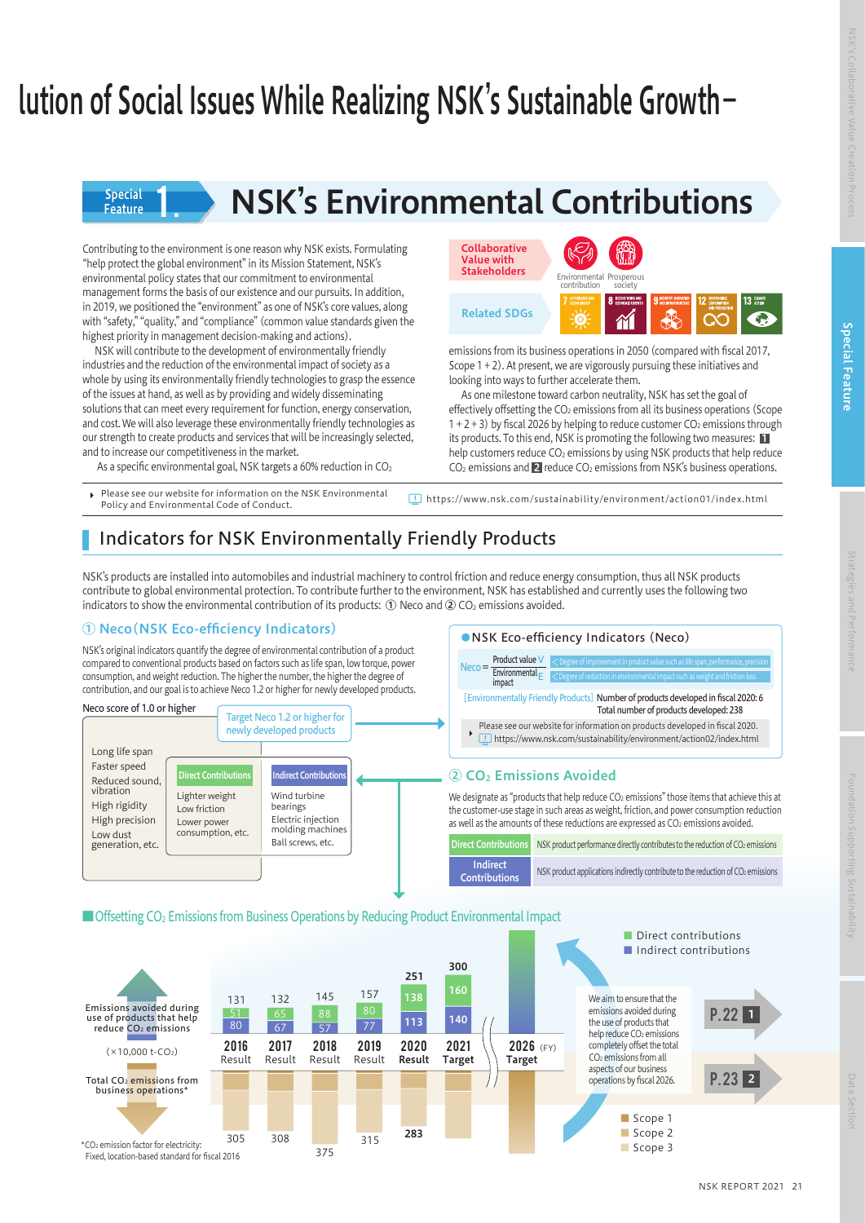# lution of Social Issues While Realizing NSK's Sustainable Growth−

# **Feature**

# Special **1. NORGINE ANGLES NSK's Environmental Contributions**

Contributing to the environment is one reason why NSK exists. Formulating "help protect the global environment" in its Mission Statement, NSK's environmental policy states that our commitment to environmental management forms the basis of our existence and our pursuits. In addition, in 2019, we positioned the "environment" as one of NSK's core values, along with "safety," "quality," and "compliance" (common value standards given the highest priority in management decision-making and actions).

NSK will contribute to the development of environmentally friendly industries and the reduction of the environmental impact of society as a whole by using its environmentally friendly technologies to grasp the essence of the issues at hand, as well as by providing and widely disseminating solutions that can meet every requirement for function, energy conservation, and cost. We will also leverage these environmentally friendly technologies as our strength to create products and services that will be increasingly selected, and to increase our competitiveness in the market.

As a specific environmental goal, NSK targets a 60% reduction in CO<sub>2</sub>

Please see our website for information on the NSK Environmental  $\mathbf{r}$ Policy and Environmental Code of Conduct.

Collaborative Value with Stakeholders Prosperous contribution society Related SDGs **Cours** 

emissions from its business operations in 2050 (compared with fiscal 2017, Scope 1 + 2). At present, we are vigorously pursuing these initiatives and looking into ways to further accelerate them.

As one milestone toward carbon neutrality, NSK has set the goal of effectively offsetting the CO<sub>2</sub> emissions from all its business operations (Scope  $1 + 2 + 3$ ) by fiscal 2026 by helping to reduce customer CO<sub>2</sub> emissions through its products. To this end, NSK is promoting the following two measures: 1 help customers reduce CO<sub>2</sub> emissions by using NSK products that help reduce  $CO<sub>2</sub>$  emissions and  $2$  reduce  $CO<sub>2</sub>$  emissions from NSK's business operations.

> Degree of improvement in product value such as life span, performance, precision Degree of reduction in environmental impact such as weight and friction loss

https://www.nsk.com/sustainability/environment/action01/index.html

●NSK Eco-efficiency Indicators (Neco)

Product value V

# Indicators for NSK Environmentally Friendly Products

NSK's products are installed into automobiles and industrial machinery to control friction and reduce energy consumption, thus all NSK products contribute to global environmental protection. To contribute further to the environment, NSK has established and currently uses the following two indicators to show the environmental contribution of its products:  $\Phi$  Neco and  $\Phi$  CO<sub>2</sub> emissions avoided.

#### ① Neco(NSK Eco-efficiency Indicators)

NSK's original indicators quantify the degree of environmental contribution of a product compared to conventional products based on factors such as life span, low torque, power consumption, and weight reduction. The higher the number, the higher the degree of contribution, and our goal is to achieve Neco 1.2 or higher for newly developed products.



#### ■Offsetting CO<sub>2</sub> Emissions from Business Operations by Reducing Product Environmental Impact



Special Feature  $\sum_{\text{strains} \in \text{gies and Pent} }$ 

**Special Feature**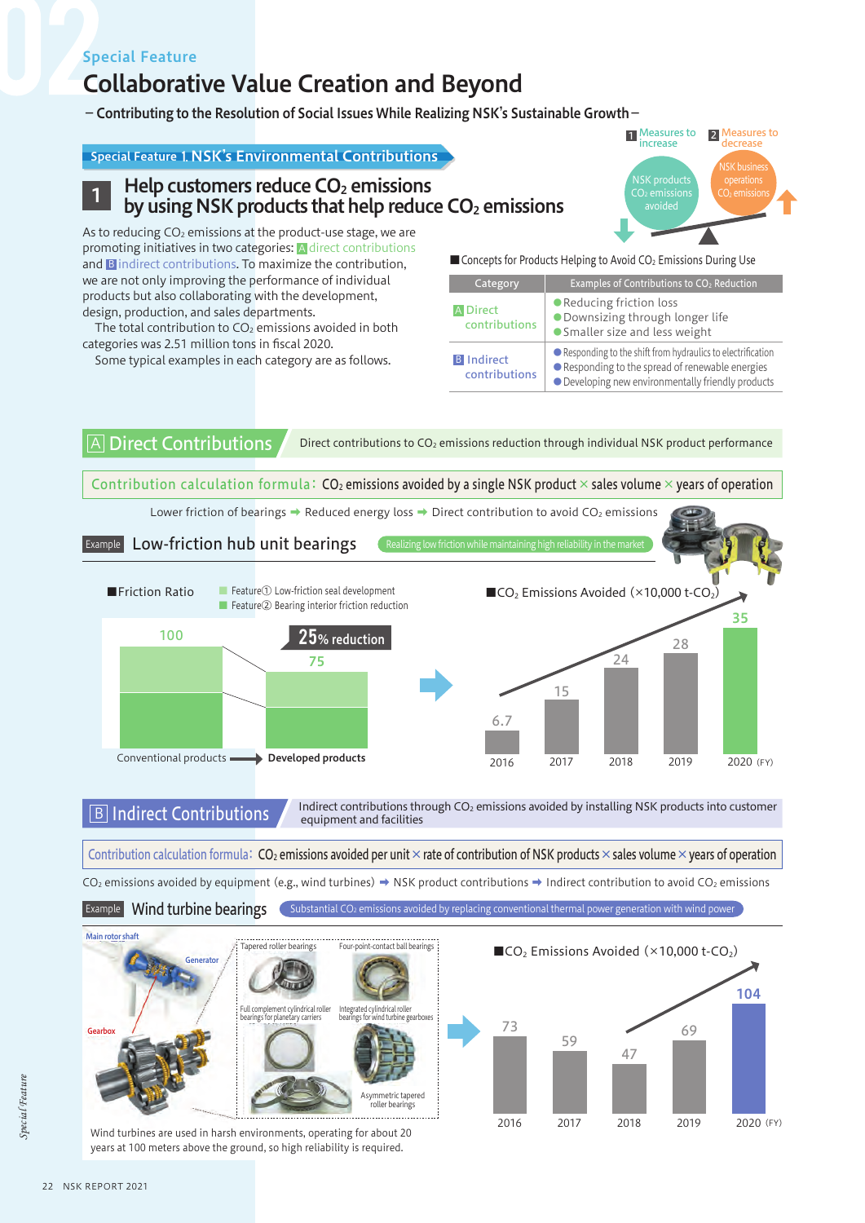#### Special Feature

# Collaborative Value Creation and Beyond

−Contributing to the Resolution of Social Issues While Realizing NSK's Sustainable Growth−